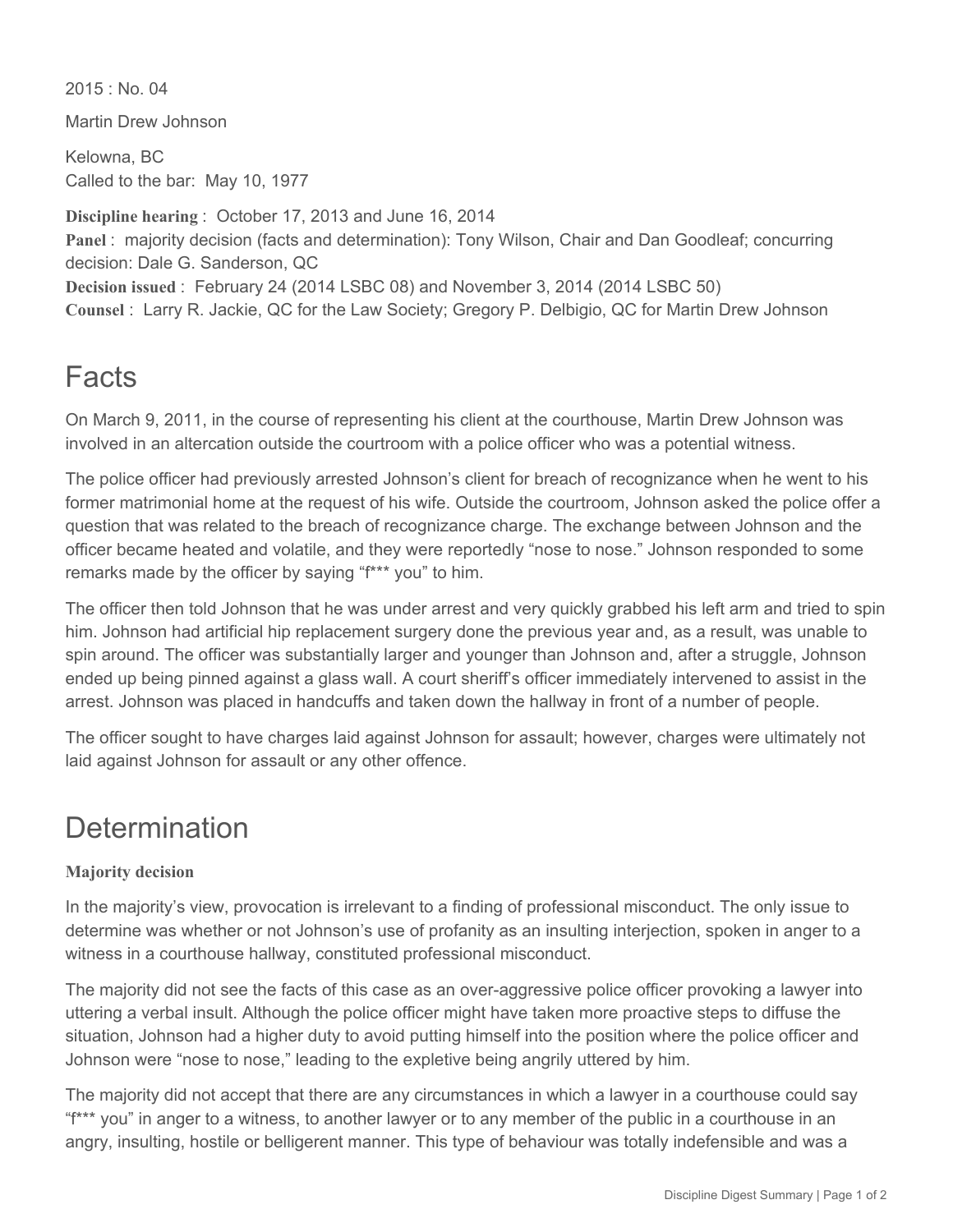$2015 \cdot$  No. 04

Martin Drew Johnson

Kelowna, BC Called to the bar: May 10, 1977

**Discipline hearing** : October 17, 2013 and June 16, 2014 **Panel** : majority decision (facts and determination): Tony Wilson, Chair and Dan Goodleaf; concurring decision: Dale G. Sanderson, QC **Decision issued** : February 24 (2014 LSBC 08) and November 3, 2014 (2014 LSBC 50) **Counsel** : Larry R. Jackie, QC for the Law Society; Gregory P. Delbigio, QC for Martin Drew Johnson

## Facts

On March 9, 2011, in the course of representing his client at the courthouse, Martin Drew Johnson was involved in an altercation outside the courtroom with a police officer who was a potential witness.

The police officer had previously arrested Johnson's client for breach of recognizance when he went to his former matrimonial home at the request of his wife. Outside the courtroom, Johnson asked the police offer a question that was related to the breach of recognizance charge. The exchange between Johnson and the officer became heated and volatile, and they were reportedly "nose to nose." Johnson responded to some remarks made by the officer by saying "f\*\*\* you" to him.

The officer then told Johnson that he was under arrest and very quickly grabbed his left arm and tried to spin him. Johnson had artificial hip replacement surgery done the previous year and, as a result, was unable to spin around. The officer was substantially larger and younger than Johnson and, after a struggle, Johnson ended up being pinned against a glass wall. A court sheriff's officer immediately intervened to assist in the arrest. Johnson was placed in handcuffs and taken down the hallway in front of a number of people.

The officer sought to have charges laid against Johnson for assault; however, charges were ultimately not laid against Johnson for assault or any other offence.

# **Determination**

### **Majority decision**

In the majority's view, provocation is irrelevant to a finding of professional misconduct. The only issue to determine was whether or not Johnson's use of profanity as an insulting interjection, spoken in anger to a witness in a courthouse hallway, constituted professional misconduct.

The majority did not see the facts of this case as an over-aggressive police officer provoking a lawyer into uttering a verbal insult. Although the police officer might have taken more proactive steps to diffuse the situation, Johnson had a higher duty to avoid putting himself into the position where the police officer and Johnson were "nose to nose," leading to the expletive being angrily uttered by him.

The majority did not accept that there are any circumstances in which a lawyer in a courthouse could say "f\*\*\* you" in anger to a witness, to another lawyer or to any member of the public in a courthouse in an angry, insulting, hostile or belligerent manner. This type of behaviour was totally indefensible and was a